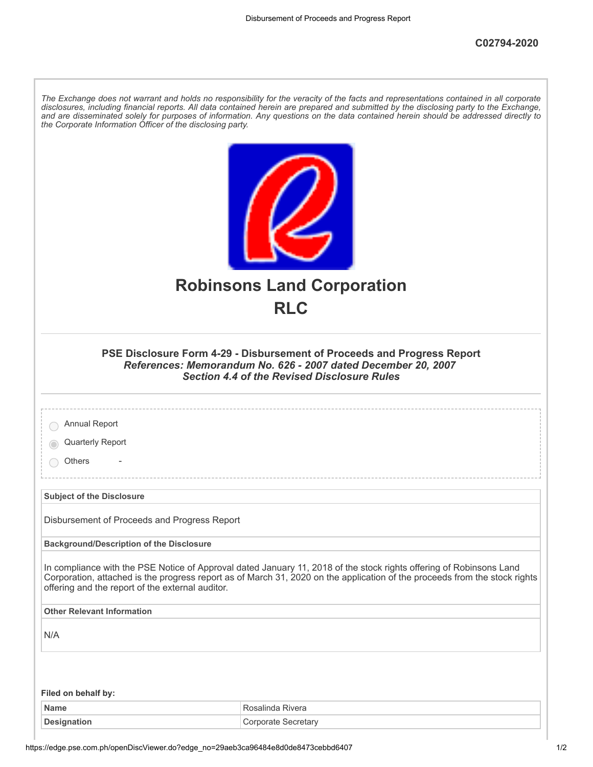*The Exchange does not warrant and holds no responsibility for the veracity of the facts and representations contained in all corporate disclosures, including financial reports. All data contained herein are prepared and submitted by the disclosing party to the Exchange,*

|                                                  | <b>Robinsons Land Corporation</b>                                                                                                                                                                                                                 |
|--------------------------------------------------|---------------------------------------------------------------------------------------------------------------------------------------------------------------------------------------------------------------------------------------------------|
|                                                  | <b>RLC</b>                                                                                                                                                                                                                                        |
|                                                  | PSE Disclosure Form 4-29 - Disbursement of Proceeds and Progress Report<br>References: Memorandum No. 626 - 2007 dated December 20, 2007<br><b>Section 4.4 of the Revised Disclosure Rules</b>                                                    |
| Annual Report                                    |                                                                                                                                                                                                                                                   |
| Quarterly Report                                 |                                                                                                                                                                                                                                                   |
| Others                                           |                                                                                                                                                                                                                                                   |
| <b>Subject of the Disclosure</b>                 |                                                                                                                                                                                                                                                   |
| Disbursement of Proceeds and Progress Report     |                                                                                                                                                                                                                                                   |
| <b>Background/Description of the Disclosure</b>  |                                                                                                                                                                                                                                                   |
| offering and the report of the external auditor. | In compliance with the PSE Notice of Approval dated January 11, 2018 of the stock rights offering of Robinsons Land<br>Corporation, attached is the progress report as of March 31, 2020 on the application of the proceeds from the stock rights |
| <b>Other Relevant Information</b>                |                                                                                                                                                                                                                                                   |
| N/A                                              |                                                                                                                                                                                                                                                   |
|                                                  |                                                                                                                                                                                                                                                   |
| Filed on behalf by:                              |                                                                                                                                                                                                                                                   |
| <b>Name</b><br><b>Designation</b>                | Rosalinda Rivera<br><b>Corporate Secretary</b>                                                                                                                                                                                                    |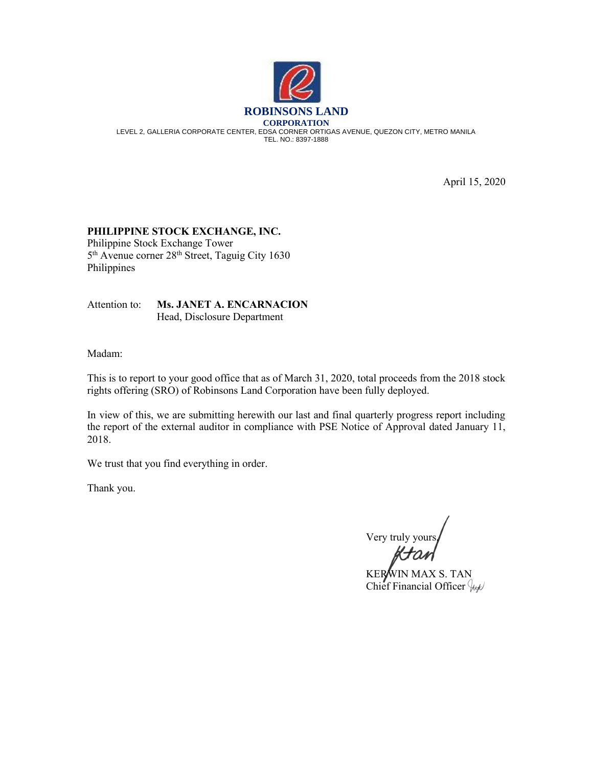

April 15, 2020

## **PHILIPPINE STOCK EXCHANGE, INC.**

Philippine Stock Exchange Tower 5<sup>th</sup> Avenue corner 28<sup>th</sup> Street, Taguig City 1630 Philippines

Attention to: **Ms. JANET A. ENCARNACION** Head, Disclosure Department

Madam:

This is to report to your good office that as of March 31, 2020, total proceeds from the 2018 stock rights offering (SRO) of Robinsons Land Corporation have been fully deployed.

In view of this, we are submitting herewith our last and final quarterly progress report including the report of the external auditor in compliance with PSE Notice of Approval dated January 11, 2018.

We trust that you find everything in order.

Thank you.

Very truly your

KERWIN MAX S. TAN Chief Financial Officer  $\frac{1}{2}$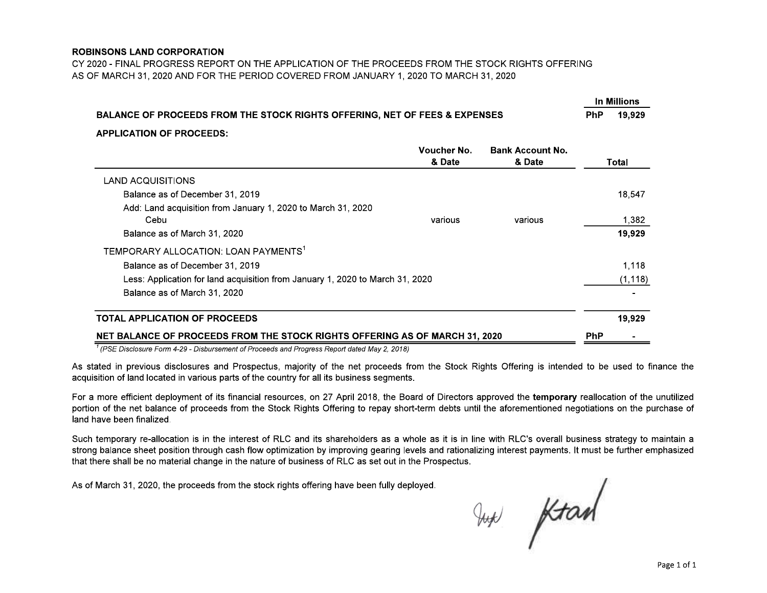## **ROBINSONS LAND CORPORATION**

CY 2020 - FINAL PROGRESS REPORT ON THE APPLICATION OF THE PROCEEDS FROM THE STOCK RIGHTS OFFERING AS OF MARCH 31, 2020 AND FOR THE PERIOD COVERED FROM JANUARY 1, 2020 TO MARCH 31, 2020

| BALANCE OF PROCEEDS FROM THE STOCK RIGHTS OFFERING, NET OF FEES & EXPENSES    |                       |                                   | In Millions |          |
|-------------------------------------------------------------------------------|-----------------------|-----------------------------------|-------------|----------|
|                                                                               |                       |                                   | <b>PhP</b>  | 19,929   |
| <b>APPLICATION OF PROCEEDS:</b>                                               | Voucher No.<br>& Date | <b>Bank Account No.</b><br>& Date |             | Total    |
| LAND ACQUISITIONS                                                             |                       |                                   |             |          |
| Balance as of December 31, 2019                                               |                       |                                   |             | 18,547   |
| Add: Land acquisition from January 1, 2020 to March 31, 2020                  |                       |                                   |             |          |
| Cebu                                                                          | various               | various                           |             | 1,382    |
| Balance as of March 31, 2020                                                  |                       |                                   |             | 19,929   |
| TEMPORARY ALLOCATION: LOAN PAYMENTS <sup>1</sup>                              |                       |                                   |             |          |
| Balance as of December 31, 2019                                               |                       |                                   |             | 1,118    |
| Less: Application for land acquisition from January 1, 2020 to March 31, 2020 |                       |                                   |             | (1, 118) |
| Balance as of March 31, 2020                                                  |                       |                                   |             |          |
| <b>TOTAL APPLICATION OF PROCEEDS</b>                                          |                       |                                   |             | 19,929   |
| NET BALANCE OF PROCEEDS FROM THE STOCK RIGHTS OFFERING AS OF MARCH 31, 2020   |                       |                                   |             |          |

 $1$  (PSE Disclosure Form 4-29 - Disbursement of Proceeds and Progress Report dated May 2, 2018)

As stated in previous disclosures and Prospectus, majority of the net proceeds from the Stock Rights Offering is intended to be used to finance the acquisition of land located in various parts of the country for all its business segments.

For a more efficient deployment of its financial resources, on 27 April 2018, the Board of Directors approved the temporary reallocation of the unutilized portion of the net balance of proceeds from the Stock Rights Offering to repay short-term debts until the aforementioned negotiations on the purchase of land have been finalized.

Such temporary re-allocation is in the interest of RLC and its shareholders as a whole as it is in line with RLC's overall business strategy to maintain a strong balance sheet position through cash flow optimization by improving gearing levels and rationalizing interest payments. It must be further emphasized that there shall be no material change in the nature of business of RLC as set out in the Prospectus.

As of March 31, 2020, the proceeds from the stock rights offering have been fully deployed.

Jup Ktarl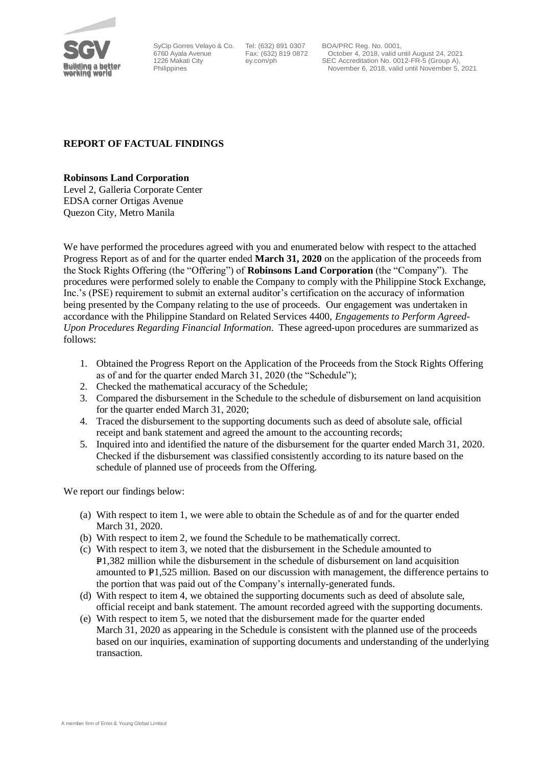

SyCip Gorres Velayo & Co. 6760 Ayala Avenue 1226 Makati City Philippines

Tel: (632) 891 0307 Fax: (632) 819 0872 ey.com/ph

BOA/PRC Reg. No. 0001, October 4, 2018, valid until August 24, 2021 SEC Accreditation No. 0012-FR-5 (Group A), November 6, 2018, valid until November 5, 2021

## **REPORT OF FACTUAL FINDINGS**

**Robinsons Land Corporation**

Level 2, Galleria Corporate Center EDSA corner Ortigas Avenue Quezon City, Metro Manila

We have performed the procedures agreed with you and enumerated below with respect to the attached Progress Report as of and for the quarter ended **March 31, 2020** on the application of the proceeds from the Stock Rights Offering (the "Offering") of **Robinsons Land Corporation** (the "Company"). The procedures were performed solely to enable the Company to comply with the Philippine Stock Exchange, Inc.'s (PSE) requirement to submit an external auditor's certification on the accuracy of information being presented by the Company relating to the use of proceeds. Our engagement was undertaken in accordance with the Philippine Standard on Related Services 4400, *Engagements to Perform Agreed-Upon Procedures Regarding Financial Information*. These agreed-upon procedures are summarized as follows:

- 1. Obtained the Progress Report on the Application of the Proceeds from the Stock Rights Offering as of and for the quarter ended March 31, 2020 (the "Schedule");
- 2. Checked the mathematical accuracy of the Schedule;
- 3. Compared the disbursement in the Schedule to the schedule of disbursement on land acquisition for the quarter ended March 31, 2020;
- 4. Traced the disbursement to the supporting documents such as deed of absolute sale, official receipt and bank statement and agreed the amount to the accounting records;
- 5. Inquired into and identified the nature of the disbursement for the quarter ended March 31, 2020. Checked if the disbursement was classified consistently according to its nature based on the schedule of planned use of proceeds from the Offering.

We report our findings below:

- (a) With respect to item 1, we were able to obtain the Schedule as of and for the quarter ended March 31, 2020.
- (b) With respect to item 2, we found the Schedule to be mathematically correct.
- (c) With respect to item 3, we noted that the disbursement in the Schedule amounted to P<sub>1</sub>,382 million while the disbursement in the schedule of disbursement on land acquisition amounted to  $\text{\textsterling}1,525$  million. Based on our discussion with management, the difference pertains to the portion that was paid out of the Company's internally-generated funds.
- (d) With respect to item 4, we obtained the supporting documents such as deed of absolute sale, official receipt and bank statement. The amount recorded agreed with the supporting documents.
- (e) With respect to item 5, we noted that the disbursement made for the quarter ended March 31, 2020 as appearing in the Schedule is consistent with the planned use of the proceeds based on our inquiries, examination of supporting documents and understanding of the underlying transaction.